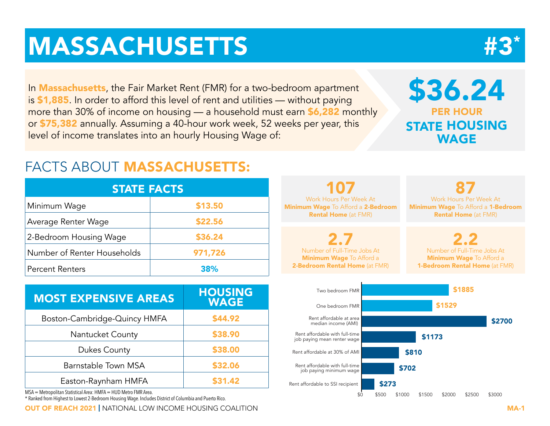# **MASSACHUSETTS**

In **Massachusetts**, the Fair Market Rent (FMR) for a two-bedroom apartment is \$1,885. In order to afford this level of rent and utilities — without paying more than 30% of income on housing — a household must earn \$6,282 monthly or \$75,382 annually. Assuming a 40-hour work week, 52 weeks per year, this level of income translates into an hourly Housing Wage of:

# FACTS ABOUT MASSACHUSETTS:

| <b>STATE FACTS</b>          |         |  |  |  |  |  |  |  |  |
|-----------------------------|---------|--|--|--|--|--|--|--|--|
| Minimum Wage                | \$13.50 |  |  |  |  |  |  |  |  |
| Average Renter Wage         | \$22.56 |  |  |  |  |  |  |  |  |
| 2-Bedroom Housing Wage      | \$36.24 |  |  |  |  |  |  |  |  |
| Number of Renter Households | 971,726 |  |  |  |  |  |  |  |  |
| <b>Percent Renters</b>      | 38%     |  |  |  |  |  |  |  |  |

| <b>MOST EXPENSIVE AREAS</b>  | <b>HOUSING</b><br><b>WAGE</b> |
|------------------------------|-------------------------------|
| Boston-Cambridge-Quincy HMFA | \$44.92                       |
| <b>Nantucket County</b>      | \$38.90                       |
| <b>Dukes County</b>          | \$38.00                       |
| Barnstable Town MSA          | \$32.06                       |
| Easton-Raynham HMFA          | \$31.42                       |

MSA = Metropolitan Statistical Area: HMFA = HUD Metro FMR Area.

\* Ranked from Highest to Lowest 2-Bedroom Housing Wage. Includes District of Columbia and Puerto Rico.

OUT OF REACH 2021 | NATIONAL LOW INCOME HOUSING COALITION MA-1



\$36.24 PER HOUR STATE HOUSING WAGE

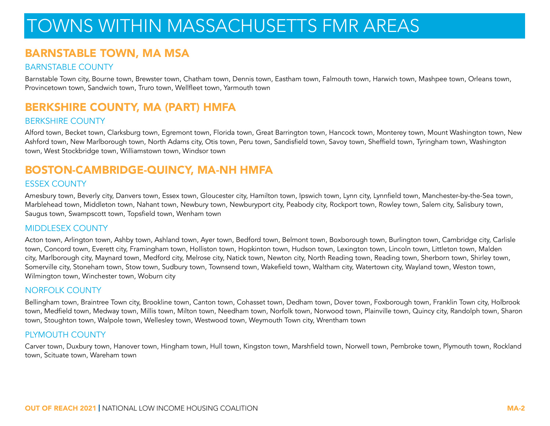# TOWNS WITHIN MASSACHUSETTS FMR AREAS

# BARNSTABLE TOWN, MA MSA

#### BARNSTABLE COUNTY

Barnstable Town city, Bourne town, Brewster town, Chatham town, Dennis town, Eastham town, Falmouth town, Harwich town, Mashpee town, Orleans town, Provincetown town, Sandwich town, Truro town, Wellfleet town, Yarmouth town

# BERKSHIRE COUNTY, MA (PART) HMFA

#### BERKSHIRE COUNTY

Alford town, Becket town, Clarksburg town, Egremont town, Florida town, Great Barrington town, Hancock town, Monterey town, Mount Washington town, New Ashford town, New Marlborough town, North Adams city, Otis town, Peru town, Sandisfield town, Savoy town, Sheffield town, Tyringham town, Washington town, West Stockbridge town, Williamstown town, Windsor town

# BOSTON-CAMBRIDGE-QUINCY, MA-NH HMFA

#### ESSEX COUNTY

Amesbury town, Beverly city, Danvers town, Essex town, Gloucester city, Hamilton town, Ipswich town, Lynn city, Lynnfield town, Manchester-by-the-Sea town, Marblehead town, Middleton town, Nahant town, Newbury town, Newburyport city, Peabody city, Rockport town, Rowley town, Salem city, Salisbury town, Saugus town, Swampscott town, Topsfield town, Wenham town

#### MIDDLESEX COUNTY

Acton town, Arlington town, Ashby town, Ashland town, Ayer town, Bedford town, Belmont town, Boxborough town, Burlington town, Cambridge city, Carlisle town, Concord town, Everett city, Framingham town, Holliston town, Hopkinton town, Hudson town, Lexington town, Lincoln town, Littleton town, Malden city, Marlborough city, Maynard town, Medford city, Melrose city, Natick town, Newton city, North Reading town, Reading town, Sherborn town, Shirley town, Somerville city, Stoneham town, Stow town, Sudbury town, Townsend town, Wakefield town, Waltham city, Watertown city, Wayland town, Weston town, Wilmington town, Winchester town, Woburn city

#### NORFOLK COUNTY

Bellingham town, Braintree Town city, Brookline town, Canton town, Cohasset town, Dedham town, Dover town, Foxborough town, Franklin Town city, Holbrook town, Medfield town, Medway town, Millis town, Milton town, Needham town, Norfolk town, Norwood town, Plainville town, Quincy city, Randolph town, Sharon town, Stoughton town, Walpole town, Wellesley town, Westwood town, Weymouth Town city, Wrentham town

#### PLYMOUTH COUNTY

Carver town, Duxbury town, Hanover town, Hingham town, Hull town, Kingston town, Marshfield town, Norwell town, Pembroke town, Plymouth town, Rockland town, Scituate town, Wareham town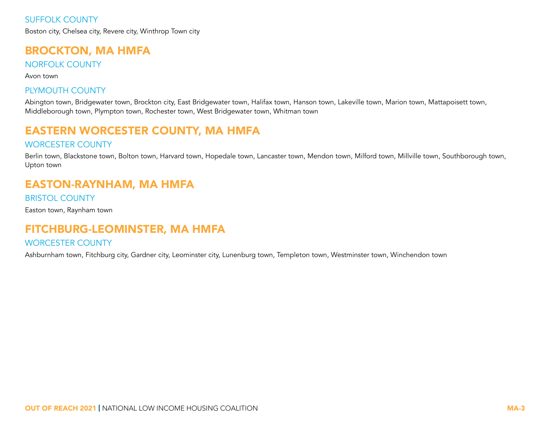# BROCKTON, MA HMFA

NORFOLK COUNTY

Avon town

### PLYMOUTH COUNTY

Abington town, Bridgewater town, Brockton city, East Bridgewater town, Halifax town, Hanson town, Lakeville town, Marion town, Mattapoisett town, Middleborough town, Plympton town, Rochester town, West Bridgewater town, Whitman town

# EASTERN WORCESTER COUNTY, MA HMFA

#### WORCESTER COUNTY

Berlin town, Blackstone town, Bolton town, Harvard town, Hopedale town, Lancaster town, Mendon town, Milford town, Millville town, Southborough town, Upton town

# EASTON-RAYNHAM, MA HMFA

BRISTOL COUNTY

Easton town, Raynham town

## FITCHBURG-LEOMINSTER, MA HMFA

#### WORCESTER COUNTY

Ashburnham town, Fitchburg city, Gardner city, Leominster city, Lunenburg town, Templeton town, Westminster town, Winchendon town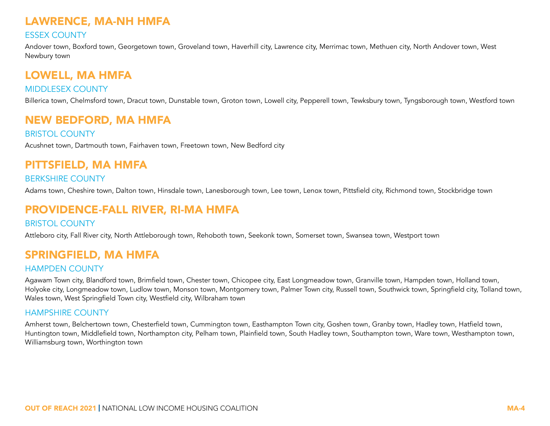# LAWRENCE, MA-NH HMFA

### ESSEX COUNTY

Andover town, Boxford town, Georgetown town, Groveland town, Haverhill city, Lawrence city, Merrimac town, Methuen city, North Andover town, West Newbury town

# LOWELL, MA HMFA

### MIDDLESEX COUNTY

Billerica town, Chelmsford town, Dracut town, Dunstable town, Groton town, Lowell city, Pepperell town, Tewksbury town, Tyngsborough town, Westford town

# NEW BEDFORD, MA HMFA

BRISTOL COUNTY

Acushnet town, Dartmouth town, Fairhaven town, Freetown town, New Bedford city

# PITTSFIELD, MA HMFA

#### BERKSHIRE COUNTY

Adams town, Cheshire town, Dalton town, Hinsdale town, Lanesborough town, Lee town, Lenox town, Pittsfield city, Richmond town, Stockbridge town

# PROVIDENCE-FALL RIVER, RI-MA HMFA

#### BRISTOL COUNTY

Attleboro city, Fall River city, North Attleborough town, Rehoboth town, Seekonk town, Somerset town, Swansea town, Westport town

# SPRINGFIELD, MA HMFA

#### HAMPDEN COUNTY

Agawam Town city, Blandford town, Brimfield town, Chester town, Chicopee city, East Longmeadow town, Granville town, Hampden town, Holland town, Holyoke city, Longmeadow town, Ludlow town, Monson town, Montgomery town, Palmer Town city, Russell town, Southwick town, Springfield city, Tolland town, Wales town, West Springfield Town city, Westfield city, Wilbraham town

#### HAMPSHIRE COUNTY

Amherst town, Belchertown town, Chesterfield town, Cummington town, Easthampton Town city, Goshen town, Granby town, Hadley town, Hatfield town, Huntington town, Middlefield town, Northampton city, Pelham town, Plainfield town, South Hadley town, Southampton town, Ware town, Westhampton town, Williamsburg town, Worthington town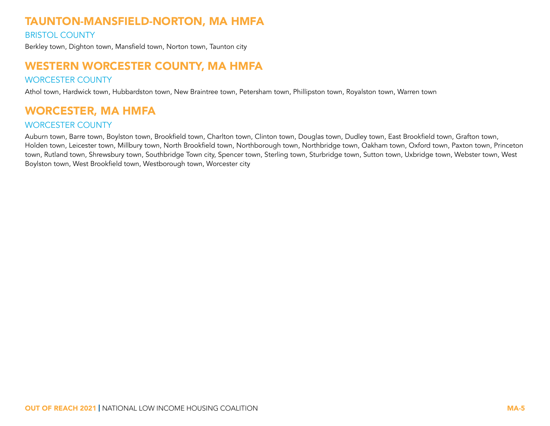# TAUNTON-MANSFIELD-NORTON, MA HMFA

#### BRISTOL COUNTY

Berkley town, Dighton town, Mansfield town, Norton town, Taunton city

# WESTERN WORCESTER COUNTY, MA HMFA

#### WORCESTER COUNTY

Athol town, Hardwick town, Hubbardston town, New Braintree town, Petersham town, Phillipston town, Royalston town, Warren town

# WORCESTER, MA HMFA

#### WORCESTER COUNTY

Auburn town, Barre town, Boylston town, Brookfield town, Charlton town, Clinton town, Douglas town, Dudley town, East Brookfield town, Grafton town, Holden town, Leicester town, Millbury town, North Brookfield town, Northborough town, Northbridge town, Oakham town, Oxford town, Paxton town, Princeton town, Rutland town, Shrewsbury town, Southbridge Town city, Spencer town, Sterling town, Sturbridge town, Sutton town, Uxbridge town, Webster town, West Boylston town, West Brookfield town, Westborough town, Worcester city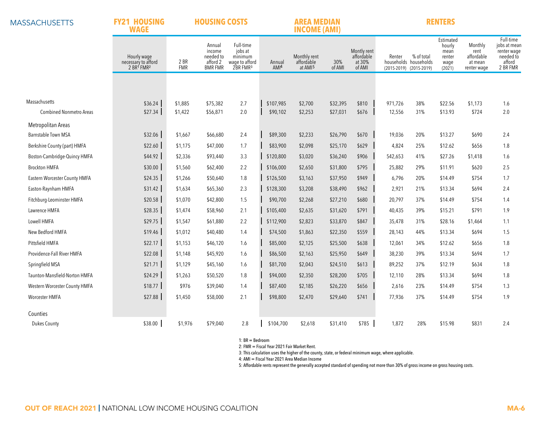**MASSACHUSETTS** 

#### **FY21 HOUSING HOUSING COSTS**

# **AREA MEDIAN RENTERS**

|                                | <b>INCOME (AMI)</b><br><b>WAGE</b>               |                    |                                                             |                                                                           |                            |                                                   |                      |                                               |                   |                                                                |                                                         |                                                         |                                                                             |
|--------------------------------|--------------------------------------------------|--------------------|-------------------------------------------------------------|---------------------------------------------------------------------------|----------------------------|---------------------------------------------------|----------------------|-----------------------------------------------|-------------------|----------------------------------------------------------------|---------------------------------------------------------|---------------------------------------------------------|-----------------------------------------------------------------------------|
|                                | Hourly wage<br>necessary to afford<br>2 BR1 FMR2 | 2 BR<br><b>FMR</b> | Annual<br>income<br>needed to<br>afford 2<br><b>BMR FMR</b> | Full-time<br>jobs at<br>minimum<br>wage to afford<br>2BR FMR <sup>3</sup> | Annual<br>AMI <sup>4</sup> | Monthly rent<br>affordable<br>at AMI <sup>5</sup> | 30%<br>of AMI        | Montly rent<br>affordable<br>at 30%<br>of AMI | Renter            | % of total<br>households households<br>(2015-2019) (2015-2019) | Estimated<br>hourly<br>mean<br>renter<br>wage<br>(2021) | Monthly<br>rent<br>affordable<br>at mean<br>renter wage | Full-time<br>jobs at mean<br>renter wage<br>needed to<br>afford<br>2 BR FMR |
|                                |                                                  |                    |                                                             |                                                                           |                            |                                                   |                      |                                               |                   |                                                                |                                                         |                                                         |                                                                             |
| Massachusetts                  |                                                  |                    |                                                             |                                                                           |                            |                                                   |                      |                                               |                   |                                                                |                                                         |                                                         |                                                                             |
| <b>Combined Nonmetro Areas</b> | \$36.24<br>\$27.34                               | \$1,885<br>\$1,422 | \$75,382<br>\$56,871                                        | 2.7<br>2.0                                                                | \$107,985<br>\$90,102      | \$2,700<br>\$2,253                                | \$32,395<br>\$27,031 | \$810<br>\$676                                | 971,726<br>12,556 | 38%<br>31%                                                     | \$22.56<br>\$13.93                                      | \$1,173<br>\$724                                        | 1.6<br>$2.0\,$                                                              |
| Metropolitan Areas             |                                                  |                    |                                                             |                                                                           |                            |                                                   |                      |                                               |                   |                                                                |                                                         |                                                         |                                                                             |
| <b>Barnstable Town MSA</b>     | \$32.06                                          | \$1,667            | \$66,680                                                    | 2.4                                                                       | \$89,300                   | \$2,233                                           | \$26,790             | \$670                                         | 19,036            | 20%                                                            | \$13.27                                                 | \$690                                                   | 2.4                                                                         |
| Berkshire County (part) HMFA   | \$22.60                                          | \$1,175            | \$47,000                                                    | 1.7                                                                       | \$83,900                   | \$2,098                                           | \$25,170             | \$629                                         | 4,824             | 25%                                                            | \$12.62                                                 | \$656                                                   | 1.8                                                                         |
| Boston-Cambridge-Quincy HMFA   | \$44.92                                          | \$2,336            | \$93,440                                                    | 3.3                                                                       | \$120,800                  | \$3,020                                           | \$36,240             | \$906                                         | 542,653           | 41%                                                            | \$27.26                                                 | \$1,418                                                 | 1.6                                                                         |
| <b>Brockton HMFA</b>           | \$30.00                                          | \$1,560            | \$62,400                                                    | 2.2                                                                       | \$106,000                  | \$2,650                                           | \$31,800             | \$795                                         | 25,882            | 29%                                                            | \$11.91                                                 | \$620                                                   | 2.5                                                                         |
| Eastern Worcester County HMFA  | \$24.35                                          | \$1,266            | \$50,640                                                    | 1.8                                                                       | \$126,500                  | \$3,163                                           | \$37,950             | \$949                                         | 6,796             | 20%                                                            | \$14.49                                                 | \$754                                                   | 1.7                                                                         |
| Easton-Raynham HMFA            | \$31.42                                          | \$1,634            | \$65,360                                                    | 2.3                                                                       | \$128,300                  | \$3,208                                           | \$38,490             | \$962                                         | 2,921             | 21%                                                            | \$13.34                                                 | \$694                                                   | 2.4                                                                         |
| Fitchburg-Leominster HMFA      | \$20.58                                          | \$1,070            | \$42,800                                                    | 1.5                                                                       | \$90,700                   | \$2,268                                           | \$27,210             | \$680                                         | 20,797            | 37%                                                            | \$14.49                                                 | \$754                                                   | 1.4                                                                         |
| Lawrence HMFA                  | \$28.35                                          | \$1,474            | \$58,960                                                    | 2.1                                                                       | \$105,400                  | \$2,635                                           | \$31,620             | \$791                                         | 40,435            | 39%                                                            | \$15.21                                                 | \$791                                                   | 1.9                                                                         |
| Lowell HMFA                    | \$29.75                                          | \$1,547            | \$61,880                                                    | 2.2                                                                       | \$112,900                  | \$2,823                                           | \$33,870             | \$847                                         | 35,478            | 31%                                                            | \$28.16                                                 | \$1,464                                                 | 1.1                                                                         |
| New Bedford HMFA               | \$19.46                                          | \$1,012            | \$40,480                                                    | 1.4                                                                       | \$74,500                   | \$1,863                                           | \$22,350             | \$559                                         | 28,143            | 44%                                                            | \$13.34                                                 | \$694                                                   | 1.5                                                                         |
| Pittsfield HMFA                | \$22.17                                          | \$1,153            | \$46,120                                                    | 1.6                                                                       | \$85,000                   | \$2,125                                           | \$25,500             | \$638                                         | 12,061            | 34%                                                            | \$12.62                                                 | \$656                                                   | 1.8                                                                         |
| Providence-Fall River HMFA     | \$22.08                                          | \$1,148            | \$45,920                                                    | 1.6                                                                       | \$86,500                   | \$2,163                                           | \$25,950             | \$649                                         | 38,230            | 39%                                                            | \$13.34                                                 | \$694                                                   | 1.7                                                                         |
| Springfield MSA                | \$21.71                                          | \$1,129            | \$45,160                                                    | 1.6                                                                       | \$81,700                   | \$2,043                                           | \$24,510             | \$613                                         | 89,252            | 37%                                                            | \$12.19                                                 | \$634                                                   | 1.8                                                                         |
| Taunton-Mansfield-Norton HMFA  | \$24.29                                          | \$1,263            | \$50,520                                                    | 1.8                                                                       | \$94,000                   | \$2,350                                           | \$28,200             | \$705                                         | 12,110            | 28%                                                            | \$13.34                                                 | \$694                                                   | 1.8                                                                         |
| Western Worcester County HMFA  | \$18.77                                          | \$976              | \$39,040                                                    | 1.4                                                                       | \$87,400                   | \$2,185                                           | \$26,220             | \$656                                         | 2,616             | 23%                                                            | \$14.49                                                 | \$754                                                   | 1.3                                                                         |
| Worcester HMFA                 | \$27.88                                          | \$1,450            | \$58,000                                                    | 2.1                                                                       | \$98,800                   | \$2,470                                           | \$29,640             | \$741                                         | 77,936            | 37%                                                            | \$14.49                                                 | \$754                                                   | 1.9                                                                         |
| Counties                       |                                                  |                    |                                                             |                                                                           |                            |                                                   |                      |                                               |                   |                                                                |                                                         |                                                         |                                                                             |
| <b>Dukes County</b>            | \$38.00                                          | \$1,976            | \$79,040                                                    | 2.8                                                                       | \$104,700                  | \$2,618                                           | \$31,410             | \$785                                         | 1,872             | 28%                                                            | \$15.98                                                 | \$831                                                   | 2.4                                                                         |
|                                |                                                  |                    |                                                             |                                                                           |                            |                                                   |                      |                                               |                   |                                                                |                                                         |                                                         |                                                                             |

1: BR = Bedroom

2: FMR = Fiscal Year 2021 Fair Market Rent.

3: This calculation uses the higher of the county, state, or federal minimum wage, where applicable.

4: AMI = Fiscal Year 2021 Area Median Income

5: Affordable rents represent the generally accepted standard of spending not more than 30% of gross income on gross housing costs.